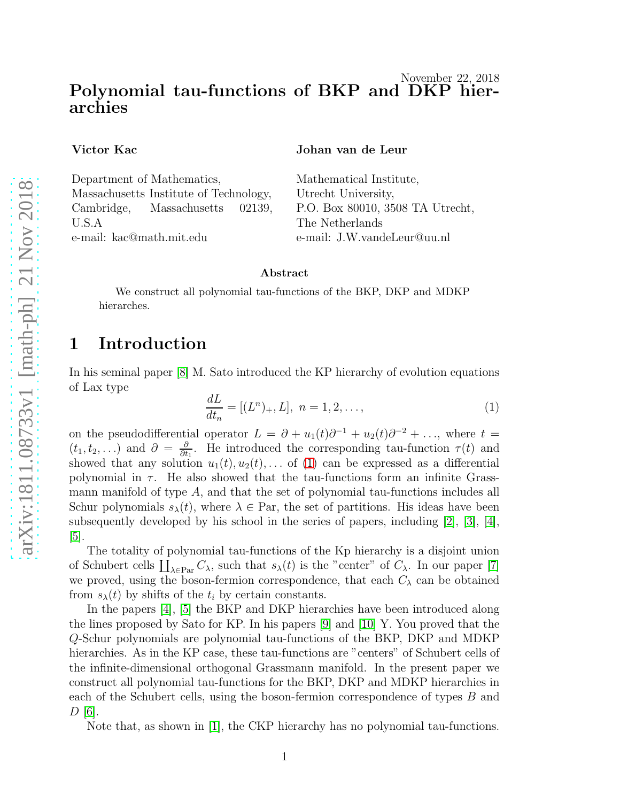#### November 22, 2018 Polynomial tau-functions of BKP and DKP hierarchies

Victor Kac

Department of Mathematics, Massachusetts Institute of Technology, Cambridge, Massachusetts 02139, U.S.A e-mail: kac@math.mit.edu

Johan van de Leur

Mathematical Institute, Utrecht University, P.O. Box 80010, 3508 TA Utrecht, The Netherlands e-mail: J.W.vandeLeur@uu.nl

#### Abstract

We construct all polynomial tau-functions of the BKP, DKP and MDKP hierarches.

### 1 Introduction

In his seminal paper [\[8\]](#page-15-0) M. Sato introduced the KP hierarchy of evolution equations of Lax type

<span id="page-0-0"></span>
$$
\frac{dL}{dt_n} = [(L^n)_+, L], \ n = 1, 2, \dots,
$$
\n(1)

on the pseudodifferential operator  $L = \partial + u_1(t)\partial^{-1} + u_2(t)\partial^{-2} + \ldots$ , where  $t =$  $(t_1, t_2, \ldots)$  and  $\partial = \frac{\partial}{\partial t}$  $\frac{\partial}{\partial t_1}$ . He introduced the corresponding tau-function  $\tau(t)$  and showed that any solution  $u_1(t), u_2(t), \ldots$  of [\(1\)](#page-0-0) can be expressed as a differential polynomial in  $\tau$ . He also showed that the tau-functions form an infinite Grassmann manifold of type A, and that the set of polynomial tau-functions includes all Schur polynomials  $s_{\lambda}(t)$ , where  $\lambda \in \text{Par}$ , the set of partitions. His ideas have been subsequently developed by his school in the series of papers, including [\[2\]](#page-14-0), [\[3\]](#page-14-1), [\[4\]](#page-14-2), [\[5\]](#page-14-3).

The totality of polynomial tau-functions of the Kp hierarchy is a disjoint union of Schubert cells  $\coprod_{\lambda \in \text{Par}} C_{\lambda}$ , such that  $s_{\lambda}(t)$  is the "center" of  $C_{\lambda}$ . In our paper [\[7\]](#page-14-4) we proved, using the boson-fermion correspondence, that each  $C_{\lambda}$  can be obtained from  $s_{\lambda}(t)$  by shifts of the  $t_i$  by certain constants.

In the papers [\[4\]](#page-14-2), [\[5\]](#page-14-3) the BKP and DKP hierarchies have been introduced along the lines proposed by Sato for KP. In his papers [\[9\]](#page-15-1) and [\[10\]](#page-15-2) Y. You proved that the Q-Schur polynomials are polynomial tau-functions of the BKP, DKP and MDKP hierarchies. As in the KP case, these tau-functions are "centers" of Schubert cells of the infinite-dimensional orthogonal Grassmann manifold. In the present paper we construct all polynomial tau-functions for the BKP, DKP and MDKP hierarchies in each of the Schubert cells, using the boson-fermion correspondence of types B and  $D$  [\[6\]](#page-14-5).

Note that, as shown in [\[1\]](#page-14-6), the CKP hierarchy has no polynomial tau-functions.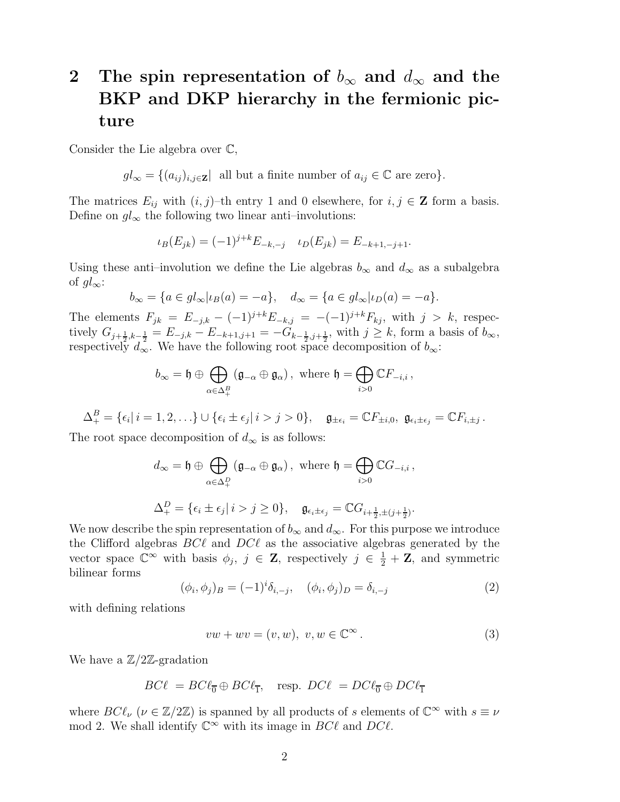# 2 The spin representation of  $b_{\infty}$  and  $d_{\infty}$  and the BKP and DKP hierarchy in the fermionic picture

Consider the Lie algebra over C,

 $gl_{\infty} = \{(a_{ij})_{i,j\in \mathbf{Z}}\}$  all but a finite number of  $a_{ij} \in \mathbb{C}$  are zero}.

The matrices  $E_{ij}$  with  $(i, j)$ –th entry 1 and 0 elsewhere, for  $i, j \in \mathbb{Z}$  form a basis. Define on  $gl_{\infty}$  the following two linear anti–involutions:

$$
\iota_B(E_{jk}) = (-1)^{j+k} E_{-k,-j} \quad \iota_D(E_{jk}) = E_{-k+1,-j+1}.
$$

Using these anti–involution we define the Lie algebras  $b_{\infty}$  and  $d_{\infty}$  as a subalgebra of  $gl_{\infty}$ :

$$
b_{\infty} = \{a \in gl_{\infty} | \iota_B(a) = -a\}, \quad d_{\infty} = \{a \in gl_{\infty} | \iota_D(a) = -a\}.
$$

The elements  $F_{jk} = E_{-j,k} - (-1)^{j+k} E_{-k,j} = -(-1)^{j+k} F_{kj}$ , with  $j > k$ , respectively  $G_{j+\frac{1}{2},k-\frac{1}{2}} = E_{-j,k} - E_{-k+1,j+1} = -G_{k-\frac{1}{2},j+\frac{1}{2}}$ , with  $j \geq k$ , form a basis of  $b_{\infty}$ , respectively  $d_{\infty}$ . We have the following root space decomposition of  $b_{\infty}$ :

$$
b_{\infty} = \mathfrak{h} \oplus \bigoplus_{\alpha \in \Delta_+^B} (\mathfrak{g}_{-\alpha} \oplus \mathfrak{g}_{\alpha}), \text{ where } \mathfrak{h} = \bigoplus_{i > 0} \mathbb{C} F_{-i,i},
$$

 $\Delta^{B}_{+} = \{\epsilon_i | i = 1, 2, \ldots\} \cup \{\epsilon_i \pm \epsilon_j | i > j > 0\}, \quad \mathfrak{g}_{\pm \epsilon_i} = \mathbb{C} F_{\pm i, 0}, \ \mathfrak{g}_{\epsilon_i \pm \epsilon_j} = \mathbb{C} F_{i, \pm j}.$ 

The root space decomposition of  $d_{\infty}$  is as follows:

$$
d_{\infty} = \mathfrak{h} \oplus \bigoplus_{\alpha \in \Delta_+^D} (\mathfrak{g}_{-\alpha} \oplus \mathfrak{g}_{\alpha}), \text{ where } \mathfrak{h} = \bigoplus_{i > 0} \mathbb{C}G_{-i,i},
$$
  

$$
\Delta_+^D = \{ \epsilon_i \pm \epsilon_j | i > j \ge 0 \}, \quad \mathfrak{g}_{\epsilon_i \pm \epsilon_j} = \mathbb{C}G_{i + \frac{1}{2}, \pm (j + \frac{1}{2})}.
$$

We now describe the spin representation of  $b_{\infty}$  and  $d_{\infty}$ . For this purpose we introduce the Clifford algebras  $BC\ell$  and  $DC\ell$  as the associative algebras generated by the vector space  $\mathbb{C}^{\infty}$  with basis  $\phi_j$ ,  $j \in \mathbb{Z}$ , respectively  $j \in \frac{1}{2} + \mathbb{Z}$ , and symmetric bilinear forms

<span id="page-1-1"></span>
$$
(\phi_i, \phi_j)_B = (-1)^i \delta_{i, -j}, \quad (\phi_i, \phi_j)_D = \delta_{i, -j}
$$
 (2)

with defining relations

<span id="page-1-0"></span>
$$
vw + wv = (v, w), v, w \in \mathbb{C}^{\infty}.
$$
\n(3)

We have a  $\mathbb{Z}/2\mathbb{Z}$ -gradation

$$
BC\ell = BC\ell_{\overline{0}} \oplus BC\ell_{\overline{1}}, \quad \text{resp. } DC\ell = DC\ell_{\overline{0}} \oplus DC\ell_{\overline{1}}
$$

where  $BC\ell_{\nu}$  ( $\nu \in \mathbb{Z}/2\mathbb{Z}$ ) is spanned by all products of s elements of  $\mathbb{C}^{\infty}$  with  $s \equiv \nu$ mod 2. We shall identify  $\mathbb{C}^{\infty}$  with its image in  $BC\ell$  and  $DC\ell$ .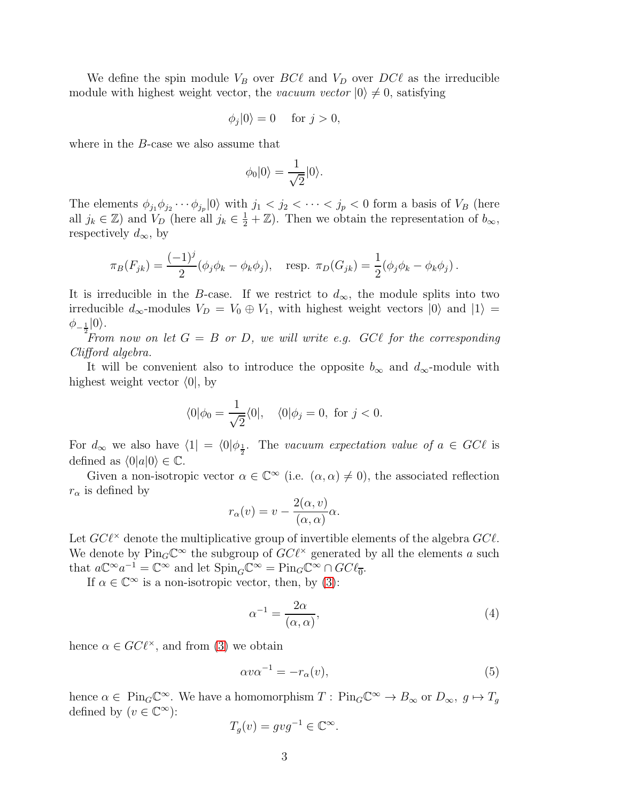We define the spin module  $V_B$  over  $BC\ell$  and  $V_D$  over  $DC\ell$  as the irreducible module with highest weight vector, the vacuum vector  $|0\rangle \neq 0$ , satisfying

$$
\phi_j|0\rangle = 0 \quad \text{ for } j > 0,
$$

where in the B-case we also assume that

$$
\phi_0|0\rangle = \frac{1}{\sqrt{2}}|0\rangle.
$$

The elements  $\phi_{j_1}\phi_{j_2}\cdots\phi_{j_p}|0\rangle$  with  $j_1 < j_2 < \cdots < j_p < 0$  form a basis of  $V_B$  (here all  $j_k \in \mathbb{Z}$ ) and  $V_D$  (here all  $j_k \in \frac{1}{2} + \mathbb{Z}$ ). Then we obtain the representation of  $b_{\infty}$ , respectively  $d_{\infty}$ , by

$$
\pi_B(F_{jk}) = \frac{(-1)^j}{2} (\phi_j \phi_k - \phi_k \phi_j), \quad \text{resp. } \pi_D(G_{jk}) = \frac{1}{2} (\phi_j \phi_k - \phi_k \phi_j).
$$

It is irreducible in the B-case. If we restrict to  $d_{\infty}$ , the module splits into two irreducible  $d_{\infty}$ -modules  $V_D = V_0 \oplus V_1$ , with highest weight vectors  $|0\rangle$  and  $|1\rangle =$  $\phi_{-\frac{1}{2}}|0\rangle.$ 

From now on let  $G = B$  or D, we will write e.g. GCl for the corresponding Clifford algebra.

It will be convenient also to introduce the opposite  $b_{\infty}$  and  $d_{\infty}$ -module with highest weight vector  $\langle 0, v \rangle$ 

$$
\langle 0|\phi_0 = \frac{1}{\sqrt{2}}\langle 0|, \quad \langle 0|\phi_j = 0, \text{ for } j < 0.
$$

For  $d_{\infty}$  we also have  $\langle 1| = \langle 0 | \phi_{\frac{1}{2}}$ . The vacuum expectation value of  $a \in GC\ell$  is defined as  $\langle 0|a|0\rangle \in \mathbb{C}$ .

Given a non-isotropic vector  $\alpha \in \mathbb{C}^{\infty}$  (i.e.  $(\alpha, \alpha) \neq 0$ ), the associated reflection  $r_{\alpha}$  is defined by

$$
r_{\alpha}(v) = v - \frac{2(\alpha, v)}{(\alpha, \alpha)} \alpha.
$$

Let  $GC\ell^{\times}$  denote the multiplicative group of invertible elements of the algebra  $GC\ell$ . We denote by  $\text{Pin}_G\mathbb{C}^\infty$  the subgroup of  $GC\ell^\times$  generated by all the elements a such that  $a\mathbb{C}^{\infty}a^{-1} = \mathbb{C}^{\infty}$  and let  $\text{Spin}_G \mathbb{C}^{\infty} = \text{Pin}_G \mathbb{C}^{\infty} \cap G C \ell_{\overline{0}}$ .

If  $\alpha \in \mathbb{C}^{\infty}$  is a non-isotropic vector, then, by [\(3\)](#page-1-0):

$$
\alpha^{-1} = \frac{2\alpha}{(\alpha, \alpha)},\tag{4}
$$

hence  $\alpha \in GC\ell^{\times}$ , and from [\(3\)](#page-1-0) we obtain

$$
\alpha v \alpha^{-1} = -r_{\alpha}(v),\tag{5}
$$

hence  $\alpha \in \text{Pin}_G\mathbb{C}^\infty$ . We have a homomorphism  $T: \text{Pin}_G\mathbb{C}^\infty \to B_\infty$  or  $D_\infty$ ,  $g \mapsto T_g$ defined by  $(v \in \mathbb{C}^{\infty})$ :

$$
T_g(v) = gyg^{-1} \in \mathbb{C}^{\infty}.
$$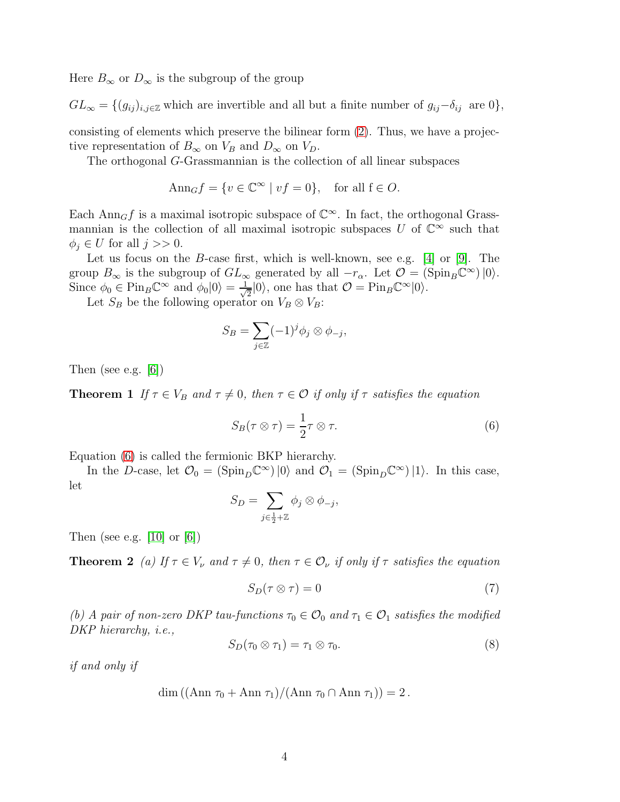Here  $B_{\infty}$  or  $D_{\infty}$  is the subgroup of the group

 $GL_{\infty} = \{(g_{ij})_{i,j\in\mathbb{Z}}\}$  which are invertible and all but a finite number of  $g_{ij}-\delta_{ij}$  are 0},

consisting of elements which preserve the bilinear form [\(2\)](#page-1-1). Thus, we have a projective representation of  $B_{\infty}$  on  $V_B$  and  $D_{\infty}$  on  $V_D$ .

The orthogonal G-Grassmannian is the collection of all linear subspaces

$$
Ann_G f = \{ v \in \mathbb{C}^\infty \mid vf = 0 \}, \text{ for all } f \in O.
$$

Each  $\text{Ann}_G f$  is a maximal isotropic subspace of  $\mathbb{C}^\infty$ . In fact, the orthogonal Grassmannian is the collection of all maximal isotropic subspaces U of  $\mathbb{C}^{\infty}$  such that  $\phi_i \in U$  for all  $j >> 0$ .

Let us focus on the *B*-case first, which is well-known, see e.g. [\[4\]](#page-14-2) or [\[9\]](#page-15-1). The group  $B_{\infty}$  is the subgroup of  $GL_{\infty}$  generated by all  $-r_{\alpha}$ . Let  $\mathcal{O} = (\text{Spin}_B \mathbb{C}^{\infty}) \, |0\rangle$ . Since  $\phi_0 \in \text{Pin}_B \mathbb{C}^\infty$  and  $\phi_0 |0\rangle = \frac{1}{\sqrt{2}}$  $\frac{1}{2}|0\rangle$ , one has that  $\mathcal{O} = \text{Pin}_B \mathbb{C}^\infty |0\rangle$ .

Let  $S_B$  be the following operator on  $V_B \otimes V_B$ :

<span id="page-3-1"></span>
$$
S_B = \sum_{j \in \mathbb{Z}} (-1)^j \phi_j \otimes \phi_{-j},
$$

Then (see e.g. [\[6\]](#page-14-5))

**Theorem 1** If  $\tau \in V_B$  and  $\tau \neq 0$ , then  $\tau \in \mathcal{O}$  if only if  $\tau$  satisfies the equation

<span id="page-3-0"></span>
$$
S_B(\tau \otimes \tau) = \frac{1}{2}\tau \otimes \tau.
$$
 (6)

Equation [\(6\)](#page-3-0) is called the fermionic BKP hierarchy.

In the D-case, let  $\mathcal{O}_0 = (\text{Spin}_D \mathbb{C}^\infty) |0\rangle$  and  $\mathcal{O}_1 = (\text{Spin}_D \mathbb{C}^\infty) |1\rangle$ . In this case, let

$$
S_D = \sum_{j \in \frac{1}{2} + \mathbb{Z}} \phi_j \otimes \phi_{-j},
$$

Then (see e.g.  $[10]$  or  $[6]$ )

**Theorem 2** (a) If  $\tau \in V_\nu$  and  $\tau \neq 0$ , then  $\tau \in \mathcal{O}_\nu$  if only if  $\tau$  satisfies the equation

$$
S_D(\tau \otimes \tau) = 0 \tag{7}
$$

(b) A pair of non-zero DKP tau-functions  $\tau_0 \in \mathcal{O}_0$  and  $\tau_1 \in \mathcal{O}_1$  satisfies the modified DKP hierarchy, i.e.,

<span id="page-3-2"></span>
$$
S_D(\tau_0 \otimes \tau_1) = \tau_1 \otimes \tau_0. \tag{8}
$$

if and only if

$$
\dim ((\mathrm{Ann} \tau_0 + \mathrm{Ann} \tau_1)/(\mathrm{Ann} \tau_0 \cap \mathrm{Ann} \tau_1)) = 2.
$$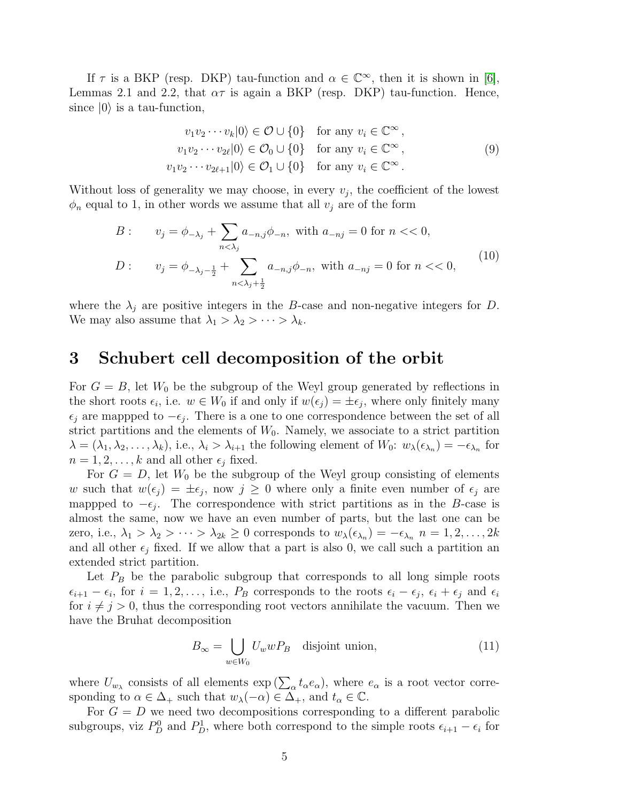If  $\tau$  is a BKP (resp. DKP) tau-function and  $\alpha \in \mathbb{C}^{\infty}$ , then it is shown in [\[6\]](#page-14-5), Lemmas 2.1 and 2.2, that  $\alpha\tau$  is again a BKP (resp. DKP) tau-function. Hence, since  $|0\rangle$  is a tau-function,

<span id="page-4-1"></span>
$$
v_1v_2\cdots v_k|0\rangle \in \mathcal{O} \cup \{0\} \quad \text{for any } v_i \in \mathbb{C}^\infty ,
$$
  
\n
$$
v_1v_2\cdots v_{2\ell}|0\rangle \in \mathcal{O}_0 \cup \{0\} \quad \text{for any } v_i \in \mathbb{C}^\infty ,
$$
  
\n
$$
v_1v_2\cdots v_{2\ell+1}|0\rangle \in \mathcal{O}_1 \cup \{0\} \quad \text{for any } v_i \in \mathbb{C}^\infty .
$$
  
\n(9)

Without loss of generality we may choose, in every  $v_j$ , the coefficient of the lowest  $\phi_n$  equal to 1, in other words we assume that all  $v_j$  are of the form

<span id="page-4-2"></span>
$$
B: \t v_j = \phi_{-\lambda_j} + \sum_{n < \lambda_j} a_{-n,j} \phi_{-n}, \text{ with } a_{-nj} = 0 \text{ for } n < 0,
$$
\n
$$
D: \t v_j = \phi_{-\lambda_j - \frac{1}{2}} + \sum_{n < \lambda_j + \frac{1}{2}} a_{-n,j} \phi_{-n}, \text{ with } a_{-nj} = 0 \text{ for } n < 0,
$$
\n
$$
(10)
$$

where the  $\lambda_i$  are positive integers in the B-case and non-negative integers for D. We may also assume that  $\lambda_1 > \lambda_2 > \cdots > \lambda_k$ .

#### 3 Schubert cell decomposition of the orbit

For  $G = B$ , let  $W_0$  be the subgroup of the Weyl group generated by reflections in the short roots  $\epsilon_i$ , i.e.  $w \in W_0$  if and only if  $w(\epsilon_j) = \pm \epsilon_j$ , where only finitely many  $\epsilon_j$  are mappped to  $-\epsilon_j$ . There is a one to one correspondence between the set of all strict partitions and the elements of  $W_0$ . Namely, we associate to a strict partition  $\lambda = (\lambda_1, \lambda_2, \dots, \lambda_k)$ , i.e.,  $\lambda_i > \lambda_{i+1}$  the following element of  $W_0$ :  $w_\lambda(\epsilon_{\lambda_n}) = -\epsilon_{\lambda_n}$  for  $n = 1, 2, \ldots, k$  and all other  $\epsilon_i$  fixed.

For  $G = D$ , let  $W_0$  be the subgroup of the Weyl group consisting of elements w such that  $w(\epsilon_j) = \pm \epsilon_j$ , now  $j \geq 0$  where only a finite even number of  $\epsilon_j$  are mappped to  $-\epsilon_j$ . The correspondence with strict partitions as in the B-case is almost the same, now we have an even number of parts, but the last one can be zero, i.e.,  $\lambda_1 > \lambda_2 > \cdots > \lambda_{2k} \geq 0$  corresponds to  $w_\lambda(\epsilon_{\lambda_n}) = -\epsilon_{\lambda_n}$   $n = 1, 2, \ldots, 2k$ and all other  $\epsilon_j$  fixed. If we allow that a part is also 0, we call such a partition an extended strict partition.

Let  $P_B$  be the parabolic subgroup that corresponds to all long simple roots  $\epsilon_{i+1} - \epsilon_i$ , for  $i = 1, 2, \ldots$ , i.e.,  $P_B$  corresponds to the roots  $\epsilon_i - \epsilon_j$ ,  $\epsilon_i + \epsilon_j$  and  $\epsilon_i$ for  $i \neq j > 0$ , thus the corresponding root vectors annihilate the vacuum. Then we have the Bruhat decomposition

<span id="page-4-0"></span>
$$
B_{\infty} = \bigcup_{w \in W_0} U_w w P_B \quad \text{disjoint union}, \tag{11}
$$

where  $U_{w_{\lambda}}$  consists of all elements  $\exp\left(\sum_{\alpha} t_{\alpha} e_{\alpha}\right)$ , where  $e_{\alpha}$  is a root vector corresponding to  $\alpha \in \Delta_+$  such that  $w_\lambda(-\alpha) \in \Delta_+$ , and  $t_\alpha \in \mathbb{C}$ .

For  $G = D$  we need two decompositions corresponding to a different parabolic subgroups, viz  $P_D^0$  and  $P_D^1$ , where both correspond to the simple roots  $\epsilon_{i+1} - \epsilon_i$  for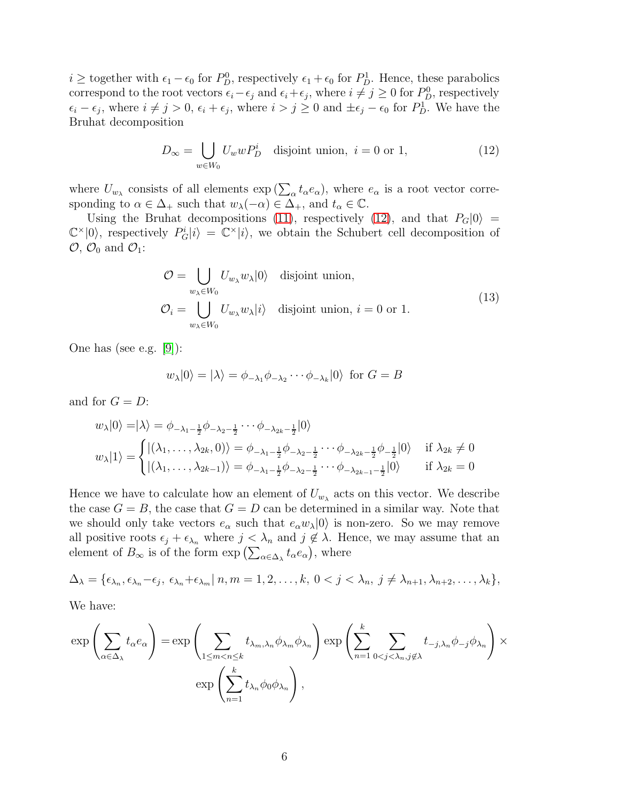$i \geq$  together with  $\epsilon_1 - \epsilon_0$  for  $P_D^0$ , respectively  $\epsilon_1 + \epsilon_0$  for  $P_D^1$ . Hence, these parabolics correspond to the root vectors  $\epsilon_i - \epsilon_j$  and  $\epsilon_i + \epsilon_j$ , where  $i \neq j \geq 0$  for  $P^0_D$ , respectively  $\epsilon_i - \epsilon_j$ , where  $i \neq j > 0$ ,  $\epsilon_i + \epsilon_j$ , where  $i > j \geq 0$  and  $\pm \epsilon_j - \epsilon_0$  for  $P^1_D$ . We have the Bruhat decomposition

<span id="page-5-0"></span>
$$
D_{\infty} = \bigcup_{w \in W_0} U_w w P_D^i \quad \text{disjoint union, } i = 0 \text{ or } 1,
$$
 (12)

where  $U_{w_{\lambda}}$  consists of all elements  $\exp\left(\sum_{\alpha} t_{\alpha} e_{\alpha}\right)$ , where  $e_{\alpha}$  is a root vector corresponding to  $\alpha \in \Delta_+$  such that  $w_\lambda(-\alpha) \in \Delta_+$ , and  $t_\alpha \in \mathbb{C}$ .

Using the Bruhat decompositions [\(11\)](#page-4-0), respectively [\(12\)](#page-5-0), and that  $P_G|0\rangle =$  $\mathbb{C}^{\times}|0\rangle$ , respectively  $P_G^i|i\rangle = \mathbb{C}^{\times}|i\rangle$ , we obtain the Schubert cell decomposition of  $\mathcal{O}, \mathcal{O}_0$  and  $\mathcal{O}_1$ :

$$
\mathcal{O} = \bigcup_{w_{\lambda} \in W_0} U_{w_{\lambda}} w_{\lambda} |0\rangle \quad \text{disjoint union,}
$$
  

$$
\mathcal{O}_i = \bigcup_{w_{\lambda} \in W_0} U_{w_{\lambda}} w_{\lambda} |i\rangle \quad \text{disjoint union, } i = 0 \text{ or } 1.
$$
 (13)

One has (see e.g. [\[9\]](#page-15-1)):

$$
w_{\lambda}|0\rangle = |\lambda\rangle = \phi_{-\lambda_1}\phi_{-\lambda_2}\cdots\phi_{-\lambda_k}|0\rangle
$$
 for  $G = B$ 

and for  $G = D$ :

$$
w_{\lambda}|0\rangle = |\lambda\rangle = \phi_{-\lambda_1 - \frac{1}{2}}\phi_{-\lambda_2 - \frac{1}{2}}\cdots\phi_{-\lambda_{2k} - \frac{1}{2}}|0\rangle
$$
  

$$
w_{\lambda}|1\rangle = \begin{cases} |(\lambda_1, \dots, \lambda_{2k}, 0)\rangle = \phi_{-\lambda_1 - \frac{1}{2}}\phi_{-\lambda_2 - \frac{1}{2}}\cdots\phi_{-\lambda_{2k} - \frac{1}{2}}\phi_{-\frac{1}{2}}|0\rangle & \text{if } \lambda_{2k} \neq 0\\ |(\lambda_1, \dots, \lambda_{2k-1})\rangle = \phi_{-\lambda_1 - \frac{1}{2}}\phi_{-\lambda_2 - \frac{1}{2}}\cdots\phi_{-\lambda_{2k-1} - \frac{1}{2}}|0\rangle & \text{if } \lambda_{2k} = 0 \end{cases}
$$

Hence we have to calculate how an element of  $U_{w_{\lambda}}$  acts on this vector. We describe the case  $G = B$ , the case that  $G = D$  can be determined in a similar way. Note that we should only take vectors  $e_{\alpha}$  such that  $e_{\alpha}w_{\lambda}|0\rangle$  is non-zero. So we may remove all positive roots  $\epsilon_j + \epsilon_{\lambda_n}$  where  $j < \lambda_n$  and  $j \notin \lambda$ . Hence, we may assume that an element of  $B_{\infty}$  is of the form  $\exp\left(\sum_{\alpha\in\Delta_{\lambda}}t_{\alpha}e_{\alpha}\right)$ , where

$$
\Delta_{\lambda} = \{\epsilon_{\lambda_n}, \epsilon_{\lambda_n} - \epsilon_j, \ \epsilon_{\lambda_n} + \epsilon_{\lambda_m} | n, m = 1, 2, \dots, k, \ 0 < j < \lambda_n, \ j \neq \lambda_{n+1}, \lambda_{n+2}, \dots, \lambda_k \},
$$

We have:

$$
\exp\left(\sum_{\alpha\in\Delta_{\lambda}}t_{\alpha}e_{\alpha}\right)=\exp\left(\sum_{1\leq m
$$
\exp\left(\sum_{n=1}^kt_{\lambda_n}\phi_0\phi_{\lambda_n}\right),
$$
$$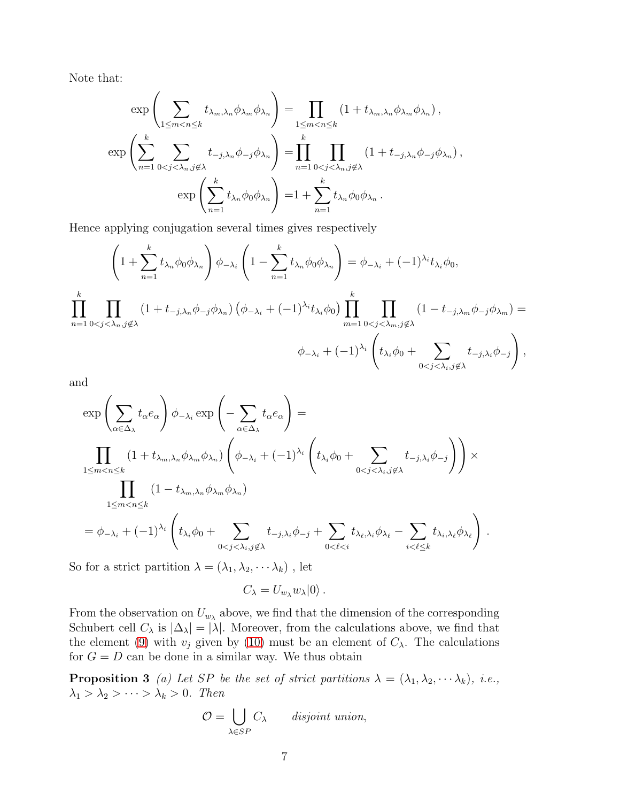Note that:

$$
\exp\left(\sum_{1\leq m
$$
\exp\left(\sum_{n=1}^k \sum_{0 < j < \lambda_n, j \notin \lambda} t_{-j,\lambda_n} \phi_{-j} \phi_{\lambda_n}\right) = \prod_{n=1}^k \prod_{0 < j < \lambda_n, j \notin \lambda} (1 + t_{-j,\lambda_n} \phi_{-j} \phi_{\lambda_n}),
$$

$$
\exp\left(\sum_{n=1}^k t_{\lambda_n} \phi_0 \phi_{\lambda_n}\right) = 1 + \sum_{n=1}^k t_{\lambda_n} \phi_0 \phi_{\lambda_n}.
$$
$$

Hence applying conjugation several times gives respectively

$$
\left(1+\sum_{n=1}^{k}t_{\lambda_{n}}\phi_{0}\phi_{\lambda_{n}}\right)\phi_{-\lambda_{i}}\left(1-\sum_{n=1}^{k}t_{\lambda_{n}}\phi_{0}\phi_{\lambda_{n}}\right)=\phi_{-\lambda_{i}}+(-1)^{\lambda_{i}}t_{\lambda_{i}}\phi_{0},
$$
\n
$$
\prod_{n=1}^{k}\prod_{0< j< \lambda_{n}, j\not\in\lambda}\left(1+t_{-j,\lambda_{n}}\phi_{-j}\phi_{\lambda_{n}}\right)\left(\phi_{-\lambda_{i}}+(-1)^{\lambda_{i}}t_{\lambda_{i}}\phi_{0}\right)\prod_{m=1}^{k}\prod_{0< j< \lambda_{m}, j\not\in\lambda}\left(1-t_{-j,\lambda_{m}}\phi_{-j}\phi_{\lambda_{m}}\right)=
$$
\n
$$
\phi_{-\lambda_{i}}+(-1)^{\lambda_{i}}\left(t_{\lambda_{i}}\phi_{0}+\sum_{0< j< \lambda_{i}, j\not\in\lambda}t_{-j,\lambda_{i}}\phi_{-j}\right),
$$

and

$$
\exp\left(\sum_{\alpha\in\Delta_{\lambda}}t_{\alpha}e_{\alpha}\right)\phi_{-\lambda_{i}}\exp\left(-\sum_{\alpha\in\Delta_{\lambda}}t_{\alpha}e_{\alpha}\right)=
$$
\n
$$
\prod_{1\leq m\n
$$
\prod_{1\leq m\n
$$
=\phi_{-\lambda_{i}}+(-1)^{\lambda_{i}}\left(t_{\lambda_{i}}\phi_{0}+\sum_{0
$$
$$
$$

So for a strict partition  $\lambda=(\lambda_1,\lambda_2,\cdots\lambda_k)$  , let

<span id="page-6-0"></span> $C_{\lambda} = U_{w_{\lambda}} w_{\lambda} |0\rangle$ .

From the observation on  $U_{w_{\lambda}}$  above, we find that the dimension of the corresponding Schubert cell  $C_\lambda$  is  $|\Delta_\lambda| = |\lambda|$ . Moreover, from the calculations above, we find that the element [\(9\)](#page-4-1) with  $v_j$  given by [\(10\)](#page-4-2) must be an element of  $C_\lambda$ . The calculations for  $G = D$  can be done in a similar way. We thus obtain

**Proposition 3** (a) Let SP be the set of strict partitions  $\lambda = (\lambda_1, \lambda_2, \dots, \lambda_k)$ , i.e.,  $\lambda_1 > \lambda_2 > \cdots > \lambda_k > 0$ . Then

$$
\mathcal{O} = \bigcup_{\lambda \in SP} C_{\lambda} \qquad disjoint \ union,
$$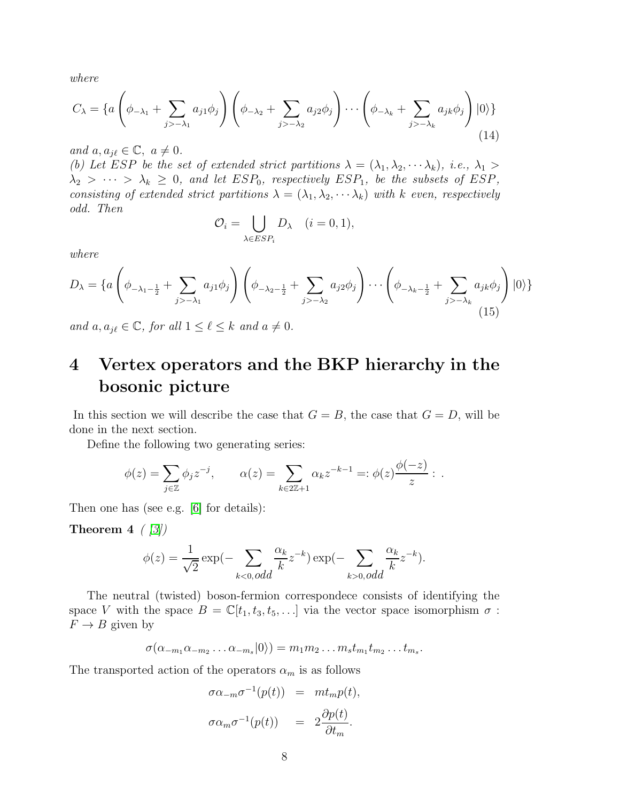where

$$
C_{\lambda} = \left\{ a \left( \phi_{-\lambda_1} + \sum_{j > -\lambda_1} a_{j1} \phi_j \right) \left( \phi_{-\lambda_2} + \sum_{j > -\lambda_2} a_{j2} \phi_j \right) \cdots \left( \phi_{-\lambda_k} + \sum_{j > -\lambda_k} a_{jk} \phi_j \right) |0\rangle \right\}
$$
(14)

and  $a, a_{i\ell} \in \mathbb{C}, a \neq 0.$ 

(b) Let ESP be the set of extended strict partitions  $\lambda = (\lambda_1, \lambda_2, \dots, \lambda_k)$ , i.e.,  $\lambda_1 >$  $\lambda_2 > \cdots > \lambda_k \geq 0$ , and let  $ESP_0$ , respectively  $ESP_1$ , be the subsets of  $ESP_2$ , consisting of extended strict partitions  $\lambda = (\lambda_1, \lambda_2, \cdots \lambda_k)$  with k even, respectively odd. Then

$$
\mathcal{O}_i = \bigcup_{\lambda \in ESP_i} D_{\lambda} \quad (i = 0, 1),
$$

where

$$
D_{\lambda} = \left\{ a \left( \phi_{-\lambda_1 - \frac{1}{2}} + \sum_{j > -\lambda_1} a_{j1} \phi_j \right) \left( \phi_{-\lambda_2 - \frac{1}{2}} + \sum_{j > -\lambda_2} a_{j2} \phi_j \right) \cdots \left( \phi_{-\lambda_k - \frac{1}{2}} + \sum_{j > -\lambda_k} a_{jk} \phi_j \right) |0\rangle \right\}
$$
(15)

and  $a, a_{i\ell} \in \mathbb{C}$ , for all  $1 \leq \ell \leq k$  and  $a \neq 0$ .

## 4 Vertex operators and the BKP hierarchy in the bosonic picture

In this section we will describe the case that  $G = B$ , the case that  $G = D$ , will be done in the next section.

Define the following two generating series:

$$
\phi(z) = \sum_{j \in \mathbb{Z}} \phi_j z^{-j}, \qquad \alpha(z) = \sum_{k \in 2\mathbb{Z}+1} \alpha_k z^{-k-1} =: \phi(z) \frac{\phi(-z)}{z} : .
$$

Then one has (see e.g. [\[6\]](#page-14-5) for details):

**Theorem 4**  $\binom{3}{2}$ 

<span id="page-7-0"></span>
$$
\phi(z) = \frac{1}{\sqrt{2}} \exp(-\sum_{k < 0, odd} \frac{\alpha_k}{k} z^{-k}) \exp(-\sum_{k > 0, odd} \frac{\alpha_k}{k} z^{-k}).
$$

The neutral (twisted) boson-fermion correspondece consists of identifying the space V with the space  $B = \mathbb{C}[t_1, t_3, t_5, \ldots]$  via the vector space isomorphism  $\sigma$ :  $F \to B$  given by

$$
\sigma(\alpha_{-m_1}\alpha_{-m_2}\dots\alpha_{-m_s}|0\rangle)=m_1m_2\dots m_st_{m_1}t_{m_2}\dots t_{m_s}.
$$

The transported action of the operators  $\alpha_m$  is as follows

$$
\sigma \alpha_{-m} \sigma^{-1}(p(t)) = m t_m p(t),
$$
  

$$
\sigma \alpha_m \sigma^{-1}(p(t)) = 2 \frac{\partial p(t)}{\partial t_m}.
$$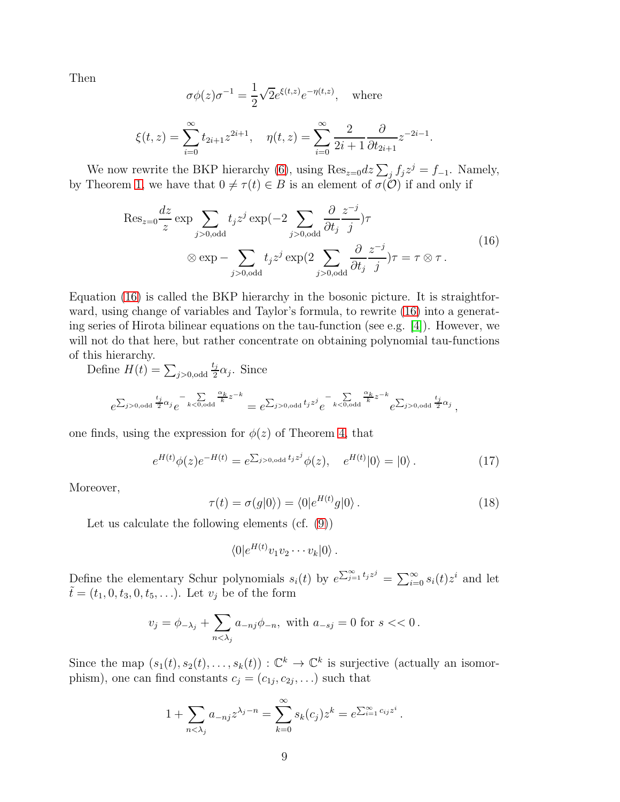Then

$$
\sigma\phi(z)\sigma^{-1} = \frac{1}{2}\sqrt{2}e^{\xi(t,z)}e^{-\eta(t,z)}, \text{ where}
$$

$$
\xi(t,z) = \sum_{i=0}^{\infty} t_{2i+1}z^{2i+1}, \quad \eta(t,z) = \sum_{i=0}^{\infty} \frac{2}{2i+1} \frac{\partial}{\partial t_{2i+1}} z^{-2i-1}.
$$

We now rewrite the BKP hierarchy [\(6\)](#page-3-0), using  $\text{Res}_{z=0}dz\sum_{j}f_{j}z^{j}=f_{-1}$ . Namely, by Theorem [1,](#page-3-1) we have that  $0 \neq \tau(t) \in B$  is an element of  $\sigma(\mathcal{O})$  if and only if

<span id="page-8-0"></span>
$$
\operatorname{Res}_{z=0} \frac{dz}{z} \exp \sum_{j>0, \text{odd}} t_j z^j \exp(-2 \sum_{j>0, \text{odd}} \frac{\partial}{\partial t_j} \frac{z^{-j}}{j}) \tau
$$
  
 
$$
\otimes \exp - \sum_{j>0, \text{odd}} t_j z^j \exp(2 \sum_{j>0, \text{odd}} \frac{\partial}{\partial t_j} \frac{z^{-j}}{j}) \tau = \tau \otimes \tau.
$$
 (16)

 $i=0$ 

Equation [\(16\)](#page-8-0) is called the BKP hierarchy in the bosonic picture. It is straightforward, using change of variables and Taylor's formula, to rewrite [\(16\)](#page-8-0) into a generating series of Hirota bilinear equations on the tau-function (see e.g. [\[4\]](#page-14-2)). However, we will not do that here, but rather concentrate on obtaining polynomial tau-functions of this hierarchy.

Define  $H(t) = \sum_{j>0,odd}$  $t_j$  $\frac{\omega_j}{2}\alpha_j$ . Since

 $i=0$ 

$$
e^{\sum_{j>0,\text{odd}}\frac{t_j}{2}\alpha_j}e^{-\sum\limits_{k<0,\text{odd}}\frac{\alpha_k}{k}z^{-k}}=e^{\sum_{j>0,\text{odd}}t_jz^j}e^{-\sum\limits_{k<0,\text{odd}}\frac{\alpha_k}{k}z^{-k}}e^{\sum_{j>0,\text{odd}}\frac{t_j}{2}\alpha_j}\,,
$$

one finds, using the expression for  $\phi(z)$  of Theorem [4,](#page-7-0) that

<span id="page-8-1"></span>
$$
e^{H(t)}\phi(z)e^{-H(t)} = e^{\sum_{j>0,\text{odd}}t_jz^j}\phi(z), \quad e^{H(t)}|0\rangle = |0\rangle. \tag{17}
$$

Moreover,

<span id="page-8-2"></span>
$$
\tau(t) = \sigma(g|0\rangle) = \langle 0|e^{H(t)}g|0\rangle. \tag{18}
$$

Let us calculate the following elements (cf. [\(9\)](#page-4-1))

$$
\langle 0|e^{H(t)}v_1v_2\cdots v_k|0\rangle.
$$

Define the elementary Schur polynomials  $s_i(t)$  by  $e^{\sum_{j=1}^{\infty} t_j z^j} = \sum_{i=0}^{\infty} s_i(t) z^i$  and let  $\tilde{t} = (t_1, 0, t_3, 0, t_5, \ldots).$  Let  $v_j$  be of the form

$$
v_j = \phi_{-\lambda_j} + \sum_{n < \lambda_j} a_{-nj} \phi_{-n}, \text{ with } a_{-sj} = 0 \text{ for } s < \lt 0 \, .
$$

Since the map  $(s_1(t), s_2(t), \ldots, s_k(t)) : \mathbb{C}^k \to \mathbb{C}^k$  is surjective (actually an isomorphism), one can find constants  $c_j = (c_{1j}, c_{2j}, \ldots)$  such that

$$
1 + \sum_{n < \lambda_j} a_{-nj} z^{\lambda_j - n} = \sum_{k=0}^{\infty} s_k(c_j) z^k = e^{\sum_{i=1}^{\infty} c_{ij} z^i}.
$$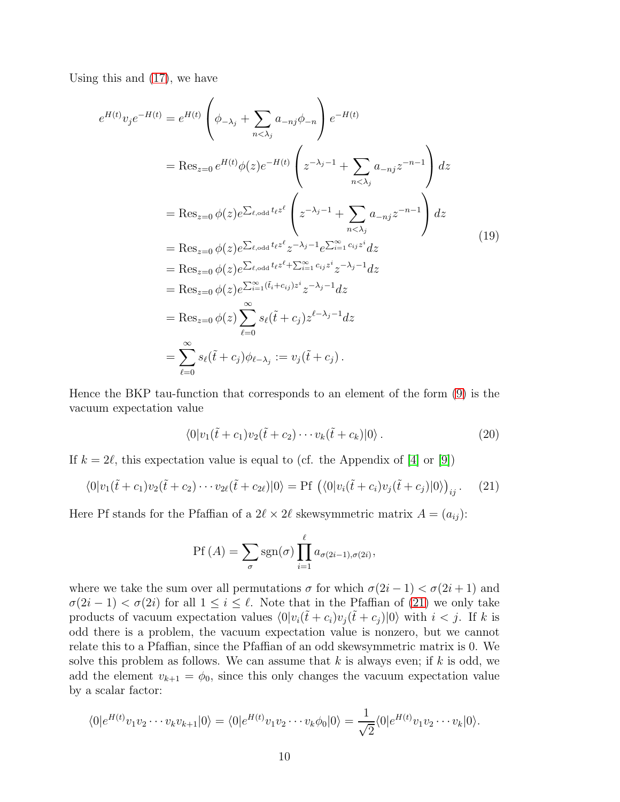Using this and [\(17\)](#page-8-1), we have

<span id="page-9-1"></span>
$$
e^{H(t)}v_j e^{-H(t)} = e^{H(t)} \left(\phi_{-\lambda_j} + \sum_{n < \lambda_j} a_{-nj}\phi_{-n}\right) e^{-H(t)}
$$
\n
$$
= \text{Res}_{z=0} e^{H(t)} \phi(z) e^{-H(t)} \left(z^{-\lambda_j - 1} + \sum_{n < \lambda_j} a_{-nj} z^{-n-1}\right) dz
$$
\n
$$
= \text{Res}_{z=0} \phi(z) e^{\sum_{\ell, \text{odd}} t_{\ell} z^{\ell}} \left(z^{-\lambda_j - 1} + \sum_{n < \lambda_j} a_{-nj} z^{-n-1}\right) dz
$$
\n
$$
= \text{Res}_{z=0} \phi(z) e^{\sum_{\ell, \text{odd}} t_{\ell} z^{\ell}} z^{-\lambda_j - 1} e^{\sum_{i=1}^{\infty} c_{ij} z^i} dz
$$
\n
$$
= \text{Res}_{z=0} \phi(z) e^{\sum_{\ell, \text{odd}} t_{\ell} z^{\ell} + \sum_{i=1}^{\infty} c_{ij} z^i} z^{-\lambda_j - 1} dz
$$
\n
$$
= \text{Res}_{z=0} \phi(z) e^{\sum_{i=1}^{\infty} (\tilde{t}_i + c_{ij}) z^i} z^{-\lambda_j - 1} dz
$$
\n
$$
= \text{Res}_{z=0} \phi(z) \sum_{\ell=0}^{\infty} s_{\ell} (\tilde{t} + c_j) z^{\ell - \lambda_j - 1} dz
$$
\n
$$
= \sum_{\ell=0}^{\infty} s_{\ell} (\tilde{t} + c_j) \phi_{\ell - \lambda_j} := v_j (\tilde{t} + c_j).
$$
\n(19)

Hence the BKP tau-function that corresponds to an element of the form [\(9\)](#page-4-1) is the vacuum expectation value

<span id="page-9-2"></span>
$$
\langle 0|v_1(\tilde{t}+c_1)v_2(\tilde{t}+c_2)\cdots v_k(\tilde{t}+c_k)|0\rangle.
$$
 (20)

If  $k = 2\ell$ , this expectation value is equal to (cf. the Appendix of [\[4\]](#page-14-2) or [\[9\]](#page-15-1))

<span id="page-9-0"></span>
$$
\langle 0|v_1(\tilde{t}+c_1)v_2(\tilde{t}+c_2)\cdots v_{2\ell}(\tilde{t}+c_{2\ell})|0\rangle = \text{Pf}\left(\langle 0|v_i(\tilde{t}+c_i)v_j(\tilde{t}+c_j)|0\rangle\right)_{ij}.\tag{21}
$$

Here Pf stands for the Pfaffian of a  $2\ell \times 2\ell$  skewsymmetric matrix  $A = (a_{ij})$ :

$$
Pf(A) = \sum_{\sigma} sgn(\sigma) \prod_{i=1}^{\ell} a_{\sigma(2i-1), \sigma(2i)},
$$

where we take the sum over all permutations  $\sigma$  for which  $\sigma(2i-1) < \sigma(2i+1)$  and  $\sigma(2i-1) < \sigma(2i)$  for all  $1 \leq i \leq \ell$ . Note that in the Pfaffian of [\(21\)](#page-9-0) we only take products of vacuum expectation values  $\langle 0|v_i(\tilde{t}+c_i)v_j(\tilde{t}+c_j)|0\rangle$  with  $i < j$ . If k is odd there is a problem, the vacuum expectation value is nonzero, but we cannot relate this to a Pfaffian, since the Pfaffian of an odd skewsymmetric matrix is 0. We solve this problem as follows. We can assume that  $k$  is always even; if  $k$  is odd, we add the element  $v_{k+1} = \phi_0$ , since this only changes the vacuum expectation value by a scalar factor:

$$
\langle 0|e^{H(t)}v_1v_2\cdots v_kv_{k+1}|0\rangle = \langle 0|e^{H(t)}v_1v_2\cdots v_k\phi_0|0\rangle = \frac{1}{\sqrt{2}}\langle 0|e^{H(t)}v_1v_2\cdots v_k|0\rangle.
$$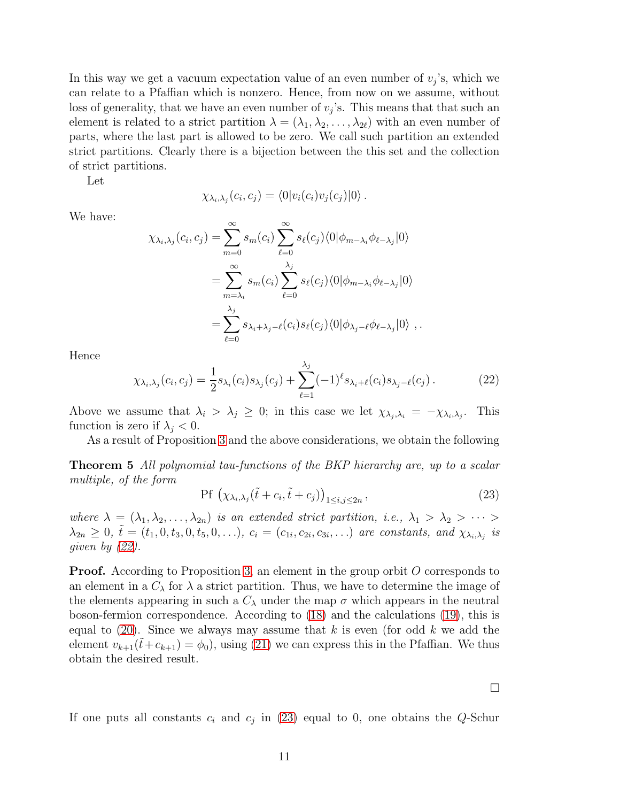In this way we get a vacuum expectation value of an even number of  $v_j$ 's, which we can relate to a Pfaffian which is nonzero. Hence, from now on we assume, without loss of generality, that we have an even number of  $v_j$ 's. This means that that such an element is related to a strict partition  $\lambda = (\lambda_1, \lambda_2, \ldots, \lambda_{2\ell})$  with an even number of parts, where the last part is allowed to be zero. We call such partition an extended strict partitions. Clearly there is a bijection between the this set and the collection of strict partitions.

Let

$$
\chi_{\lambda_i,\lambda_j}(c_i,c_j) = \langle 0|v_i(c_i)v_j(c_j)|0\rangle.
$$

We have:

$$
\chi_{\lambda_i,\lambda_j}(c_i,c_j) = \sum_{m=0}^{\infty} s_m(c_i) \sum_{\ell=0}^{\infty} s_{\ell}(c_j) \langle 0 | \phi_{m-\lambda_i} \phi_{\ell-\lambda_j} | 0 \rangle
$$
  

$$
= \sum_{m=\lambda_i}^{\infty} s_m(c_i) \sum_{\ell=0}^{\lambda_j} s_{\ell}(c_j) \langle 0 | \phi_{m-\lambda_i} \phi_{\ell-\lambda_j} | 0 \rangle
$$
  

$$
= \sum_{\ell=0}^{\lambda_j} s_{\lambda_i+\lambda_j-\ell}(c_i) s_{\ell}(c_j) \langle 0 | \phi_{\lambda_j-\ell} \phi_{\ell-\lambda_j} | 0 \rangle ,
$$

Hence

<span id="page-10-0"></span>
$$
\chi_{\lambda_i, \lambda_j}(c_i, c_j) = \frac{1}{2} s_{\lambda_i}(c_i) s_{\lambda_j}(c_j) + \sum_{\ell=1}^{\lambda_j} (-1)^{\ell} s_{\lambda_i + \ell}(c_i) s_{\lambda_j - \ell}(c_j).
$$
 (22)

Above we assume that  $\lambda_i > \lambda_j \geq 0$ ; in this case we let  $\chi_{\lambda_j, \lambda_i} = -\chi_{\lambda_i, \lambda_j}$ . . This function is zero if  $\lambda_j < 0$ .

As a result of Proposition [3](#page-6-0) and the above considerations, we obtain the following

Theorem 5 All polynomial tau-functions of the BKP hierarchy are, up to a scalar multiple, of the form

<span id="page-10-1"></span>
$$
\Pr\left(\chi_{\lambda_i,\lambda_j}(\tilde{t}+c_i,\tilde{t}+c_j)\right)_{1\leq i,j\leq 2n},\tag{23}
$$

where  $\lambda = (\lambda_1, \lambda_2, \ldots, \lambda_{2n})$  is an extended strict partition, i.e.,  $\lambda_1 > \lambda_2 > \cdots >$  $\lambda_{2n} \geq 0, \tilde{t} = (t_1, 0, t_3, 0, t_5, 0, \ldots), c_i = (c_{1i}, c_{2i}, c_{3i}, \ldots)$  are constants, and  $\chi_{\lambda_i, \lambda_j}$  is given by [\(22\)](#page-10-0).

**Proof.** According to Proposition [3,](#page-6-0) an element in the group orbit O corresponds to an element in a  $C_{\lambda}$  for  $\lambda$  a strict partition. Thus, we have to determine the image of the elements appearing in such a  $C_{\lambda}$  under the map  $\sigma$  which appears in the neutral boson-fermion correspondence. According to [\(18\)](#page-8-2) and the calculations [\(19\)](#page-9-1), this is equal to  $(20)$ . Since we always may assume that k is even (for odd k we add the element  $v_{k+1}(\tilde{t}+c_{k+1}) = \phi_0$ , using [\(21\)](#page-9-0) we can express this in the Pfaffian. We thus obtain the desired result.

If one puts all constants  $c_i$  and  $c_j$  in [\(23\)](#page-10-1) equal to 0, one obtains the Q-Schur

 $\Box$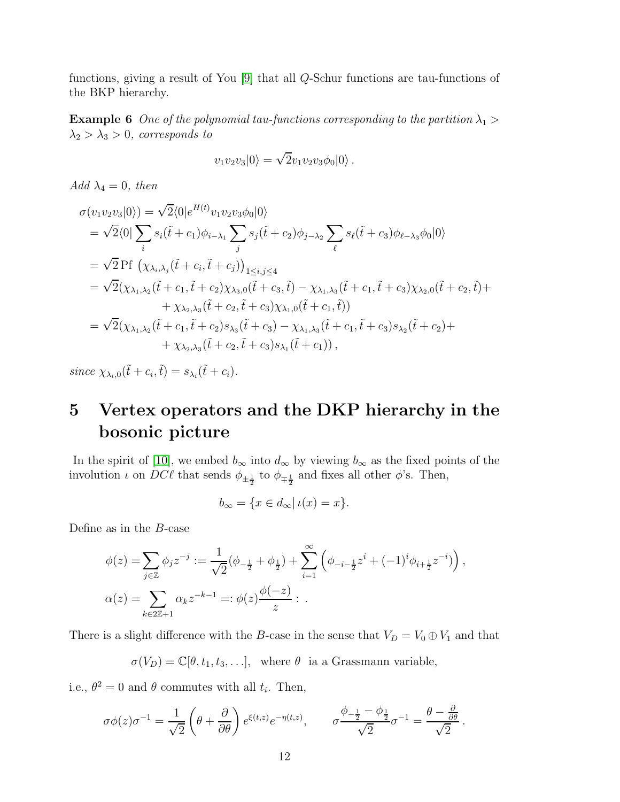functions, giving a result of You [\[9\]](#page-15-1) that all Q-Schur functions are tau-functions of the BKP hierarchy.

**Example 6** One of the polynomial tau-functions corresponding to the partition  $\lambda_1$  >  $\lambda_2 > \lambda_3 > 0$ , corresponds to

$$
v_1v_2v_3|0\rangle = \sqrt{2}v_1v_2v_3\phi_0|0\rangle.
$$

Add  $\lambda_4 = 0$ , then

$$
\sigma(v_1v_2v_3|0\rangle) = \sqrt{2}\langle 0|e^{H(t)}v_1v_2v_3\phi_0|0\rangle
$$
  
\n
$$
= \sqrt{2}\langle 0|\sum_i s_i(\tilde{t} + c_1)\phi_{i-\lambda_1}\sum_j s_j(\tilde{t} + c_2)\phi_{j-\lambda_2}\sum_\ell s_\ell(\tilde{t} + c_3)\phi_{\ell-\lambda_3}\phi_0|0\rangle
$$
  
\n
$$
= \sqrt{2} \text{Pf } \left(\chi_{\lambda_i,\lambda_j}(\tilde{t} + c_i, \tilde{t} + c_j)\right)_{1 \le i,j \le 4}
$$
  
\n
$$
= \sqrt{2}(\chi_{\lambda_1,\lambda_2}(\tilde{t} + c_1, \tilde{t} + c_2)\chi_{\lambda_3,0}(\tilde{t} + c_3, \tilde{t}) - \chi_{\lambda_1,\lambda_3}(\tilde{t} + c_1, \tilde{t} + c_3)\chi_{\lambda_2,0}(\tilde{t} + c_2, \tilde{t}) +
$$
  
\n
$$
+ \chi_{\lambda_2,\lambda_3}(\tilde{t} + c_2, \tilde{t} + c_3)\chi_{\lambda_1,0}(\tilde{t} + c_1, \tilde{t})
$$
  
\n
$$
= \sqrt{2}(\chi_{\lambda_1,\lambda_2}(\tilde{t} + c_1, \tilde{t} + c_2)s_{\lambda_3}(\tilde{t} + c_3) - \chi_{\lambda_1,\lambda_3}(\tilde{t} + c_1, \tilde{t} + c_3)s_{\lambda_2}(\tilde{t} + c_2) +
$$
  
\n
$$
+ \chi_{\lambda_2,\lambda_3}(\tilde{t} + c_2, \tilde{t} + c_3)s_{\lambda_1}(\tilde{t} + c_1)),
$$

since  $\chi_{\lambda_i,0}(\tilde{t}+c_i,\tilde{t})=s_{\lambda_i}(\tilde{t}+c_i).$ 

### 5 Vertex operators and the DKP hierarchy in the bosonic picture

In the spirit of [\[10\]](#page-15-2), we embed  $b_{\infty}$  into  $d_{\infty}$  by viewing  $b_{\infty}$  as the fixed points of the involution  $\iota$  on  $DC\ell$  that sends  $\phi_{\pm \frac{1}{2}}$  to  $\phi_{\mp \frac{1}{2}}$  and fixes all other  $\phi$ 's. Then,

$$
b_{\infty} = \{ x \in d_{\infty} | \iota(x) = x \}.
$$

Define as in the B-case

$$
\phi(z) = \sum_{j \in \mathbb{Z}} \phi_j z^{-j} := \frac{1}{\sqrt{2}} (\phi_{-\frac{1}{2}} + \phi_{\frac{1}{2}}) + \sum_{i=1}^{\infty} (\phi_{-i-\frac{1}{2}} z^i + (-1)^i \phi_{i+\frac{1}{2}} z^{-i}) \Big),
$$
  

$$
\alpha(z) = \sum_{k \in 2\mathbb{Z}+1} \alpha_k z^{-k-1} =: \phi(z) \frac{\phi(-z)}{z} : .
$$

There is a slight difference with the B-case in the sense that  $V_D = V_0 \oplus V_1$  and that

 $\sigma(V_D) = \mathbb{C}[\theta, t_1, t_3, \ldots],$  where  $\theta$  ia a Grassmann variable,

i.e.,  $\theta^2 = 0$  and  $\theta$  commutes with all  $t_i$ . Then,

$$
\sigma\phi(z)\sigma^{-1} = \frac{1}{\sqrt{2}}\left(\theta + \frac{\partial}{\partial\theta}\right)e^{\xi(t,z)}e^{-\eta(t,z)}, \qquad \sigma\frac{\phi_{-\frac{1}{2}} - \phi_{\frac{1}{2}}}{\sqrt{2}}\sigma^{-1} = \frac{\theta - \frac{\partial}{\partial\theta}}{\sqrt{2}}.
$$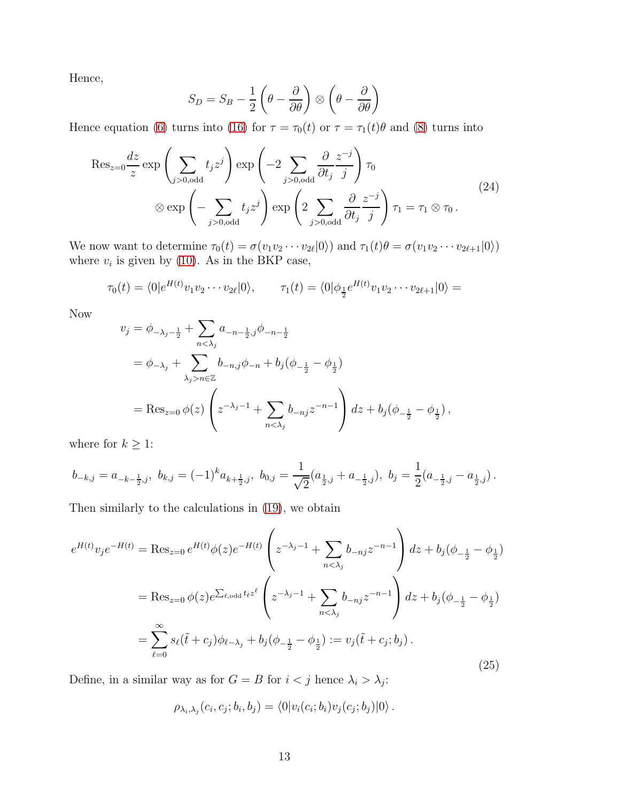Hence,

$$
S_D = S_B - \frac{1}{2} \left( \theta - \frac{\partial}{\partial \theta} \right) \otimes \left( \theta - \frac{\partial}{\partial \theta} \right)
$$

Hence equation [\(6\)](#page-3-0) turns into [\(16\)](#page-8-0) for  $\tau = \tau_0(t)$  or  $\tau = \tau_1(t)\theta$  and [\(8\)](#page-3-2) turns into

$$
\operatorname{Res}_{z=0} \frac{dz}{z} \exp\left(\sum_{j>0, \text{odd}} t_j z^j\right) \exp\left(-2\sum_{j>0, \text{odd}} \frac{\partial}{\partial t_j} \frac{z^{-j}}{j}\right) \tau_0
$$
  
 
$$
\otimes \exp\left(-\sum_{j>0, \text{odd}} t_j z^j\right) \exp\left(2\sum_{j>0, \text{odd}} \frac{\partial}{\partial t_j} \frac{z^{-j}}{j}\right) \tau_1 = \tau_1 \otimes \tau_0.
$$
 (24)

We now want to determine  $\tau_0(t) = \sigma(v_1v_2 \cdots v_{2\ell}|0\rangle)$  and  $\tau_1(t)\theta = \sigma(v_1v_2 \cdots v_{2\ell+1}|0\rangle)$ where  $v_i$  is given by [\(10\)](#page-4-2). As in the BKP case,

$$
\tau_0(t) = \langle 0 | e^{H(t)} v_1 v_2 \cdots v_{2\ell} | 0 \rangle, \qquad \tau_1(t) = \langle 0 | \phi_{\frac{1}{2}} e^{H(t)} v_1 v_2 \cdots v_{2\ell+1} | 0 \rangle =
$$

Now

$$
v_j = \phi_{-\lambda_j - \frac{1}{2}} + \sum_{n < \lambda_j} a_{-n - \frac{1}{2},j} \phi_{-n - \frac{1}{2}}
$$
  
=  $\phi_{-\lambda_j} + \sum_{\lambda_j > n \in \mathbb{Z}} b_{-n,j} \phi_{-n} + b_j (\phi_{-\frac{1}{2}} - \phi_{\frac{1}{2}})$   
=  $\text{Res}_{z=0} \phi(z) \left( z^{-\lambda_j - 1} + \sum_{n < \lambda_j} b_{-n,j} z^{-n-1} \right) dz + b_j (\phi_{-\frac{1}{2}} - \phi_{\frac{1}{2}}),$ 

where for  $k \geq 1$ :

$$
b_{-k,j} = a_{-k-\frac{1}{2},j}, \ b_{k,j} = (-1)^k a_{k+\frac{1}{2},j}, \ b_{0,j} = \frac{1}{\sqrt{2}} (a_{\frac{1}{2},j} + a_{-\frac{1}{2},j}), \ b_j = \frac{1}{2} (a_{-\frac{1}{2},j} - a_{\frac{1}{2},j}).
$$

Then similarly to the calculations in [\(19\)](#page-9-1), we obtain

$$
e^{H(t)}v_j e^{-H(t)} = \text{Res}_{z=0} e^{H(t)} \phi(z) e^{-H(t)} \left( z^{-\lambda_j - 1} + \sum_{n < \lambda_j} b_{-nj} z^{-n-1} \right) dz + b_j (\phi_{-\frac{1}{2}} - \phi_{\frac{1}{2}})
$$
  

$$
= \text{Res}_{z=0} \phi(z) e^{\sum_{\ell, \text{odd}} t_{\ell} z^{\ell}} \left( z^{-\lambda_j - 1} + \sum_{n < \lambda_j} b_{-nj} z^{-n-1} \right) dz + b_j (\phi_{-\frac{1}{2}} - \phi_{\frac{1}{2}})
$$
  

$$
= \sum_{\ell=0}^{\infty} s_{\ell} (\tilde{t} + c_j) \phi_{\ell - \lambda_j} + b_j (\phi_{-\frac{1}{2}} - \phi_{\frac{1}{2}}) := v_j (\tilde{t} + c_j; b_j).
$$
 (25)

Define, in a similar way as for  $G = B$  for  $i < j$  hence  $\lambda_i > \lambda_j$ :

$$
\rho_{\lambda_i,\lambda_j}(c_i,c_j;b_i,b_j)=\langle 0|v_i(c_i;b_i)v_j(c_j;b_j)|0\rangle.
$$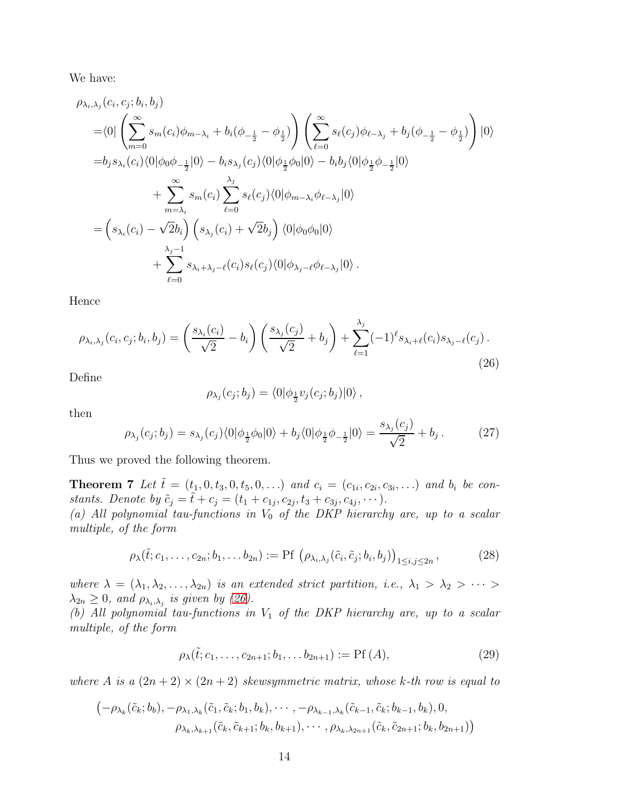We have:

$$
\rho_{\lambda_i,\lambda_j}(c_i, c_j; b_i, b_j)
$$
\n=
$$
\langle 0| \left( \sum_{m=0}^{\infty} s_m(c_i) \phi_{m-\lambda_i} + b_i(\phi_{-\frac{1}{2}} - \phi_{\frac{1}{2}}) \right) \left( \sum_{\ell=0}^{\infty} s_\ell(c_j) \phi_{\ell-\lambda_j} + b_j(\phi_{-\frac{1}{2}} - \phi_{\frac{1}{2}}) \right) |0\rangle
$$
\n=
$$
b_j s_{\lambda_i}(c_i) \langle 0| \phi_0 \phi_{-\frac{1}{2}} |0\rangle - b_i s_{\lambda_j}(c_j) \langle 0| \phi_{\frac{1}{2}} \phi_0 |0\rangle - b_i b_j \langle 0| \phi_{\frac{1}{2}} \phi_{-\frac{1}{2}} |0\rangle
$$
\n
$$
+ \sum_{m=\lambda_i}^{\infty} s_m(c_i) \sum_{\ell=0}^{\lambda_j} s_\ell(c_j) \langle 0| \phi_{m-\lambda_i} \phi_{\ell-\lambda_j} |0\rangle
$$
\n=
$$
\left( s_{\lambda_i}(c_i) - \sqrt{2} b_i \right) \left( s_{\lambda_j}(c_i) + \sqrt{2} b_j \right) \langle 0| \phi_0 \phi_0 |0\rangle + \sum_{\ell=0}^{\lambda_j-1} s_{\lambda_i+\lambda_j-\ell}(c_i) s_\ell(c_j) \langle 0| \phi_{\lambda_j-\ell} \phi_{\ell-\lambda_j} |0\rangle.
$$

Hence

<span id="page-13-0"></span>
$$
\rho_{\lambda_i, \lambda_j}(c_i, c_j; b_i, b_j) = \left(\frac{s_{\lambda_i}(c_i)}{\sqrt{2}} - b_i\right) \left(\frac{s_{\lambda_j}(c_j)}{\sqrt{2}} + b_j\right) + \sum_{\ell=1}^{\lambda_j} (-1)^{\ell} s_{\lambda_i + \ell}(c_i) s_{\lambda_j - \ell}(c_j).
$$
\n(26)

Define

<span id="page-13-2"></span>
$$
\rho_{\lambda_j}(c_j;b_j)=\langle 0|\phi_{\frac{1}{2}}v_j(c_j;b_j)|0\rangle\,,
$$

then

<span id="page-13-1"></span>
$$
\rho_{\lambda_j}(c_j; b_j) = s_{\lambda_j}(c_j) \langle 0 | \phi_{\frac{1}{2}} \phi_0 | 0 \rangle + b_j \langle 0 | \phi_{\frac{1}{2}} \phi_{-\frac{1}{2}} | 0 \rangle = \frac{s_{\lambda_j}(c_j)}{\sqrt{2}} + b_j. \tag{27}
$$

Thus we proved the following theorem.

**Theorem 7** Let  $\tilde{t} = (t_1, 0, t_3, 0, t_5, 0, ...)$  and  $c_i = (c_{1i}, c_{2i}, c_{3i}, ...)$  and  $b_i$  be constants. Denote by  $\tilde{c}_j = \tilde{t} + c_j = (t_1 + c_{1j}, c_{2j}, t_3 + c_{3j}, c_{4j}, \cdots).$ 

(a) All polynomial tau-functions in  $V_0$  of the DKP hierarchy are, up to a scalar multiple, of the form

$$
\rho_{\lambda}(\tilde{t};c_1,\ldots,c_{2n};b_1,\ldots,b_{2n}) := \text{Pf}\left(\rho_{\lambda_i,\lambda_j}(\tilde{c}_i,\tilde{c}_j;b_i,b_j)\right)_{1\leq i,j\leq 2n},\tag{28}
$$

where  $\lambda = (\lambda_1, \lambda_2, \ldots, \lambda_{2n})$  is an extended strict partition, i.e.,  $\lambda_1 > \lambda_2 > \cdots >$  $\lambda_{2n} \geq 0$ , and  $\rho_{\lambda_i, \lambda_j}$  is given by [\(26\)](#page-13-0).

(b) All polynomial tau-functions in  $V_1$  of the DKP hierarchy are, up to a scalar multiple, of the form

$$
\rho_{\lambda}(\tilde{t}; c_1, \dots, c_{2n+1}; b_1, \dots b_{2n+1}) := \text{Pf}(A), \tag{29}
$$

where A is a  $(2n+2) \times (2n+2)$  skewsymmetric matrix, whose k-th row is equal to

$$
(-\rho_{\lambda_k}(\tilde{c}_k; b_b), -\rho_{\lambda_1, \lambda_k}(\tilde{c}_1, \tilde{c}_k; b_1, b_k), \cdots, -\rho_{\lambda_{k-1}, \lambda_k}(\tilde{c}_{k-1}, \tilde{c}_k; b_{k-1}, b_k), 0, \rho_{\lambda_k, \lambda_{k+1}}(\tilde{c}_k, \tilde{c}_{k+1}; b_k, b_{k+1}), \cdots, \rho_{\lambda_k, \lambda_{2n+1}}(\tilde{c}_k, \tilde{c}_{2n+1}; b_k, b_{2n+1})
$$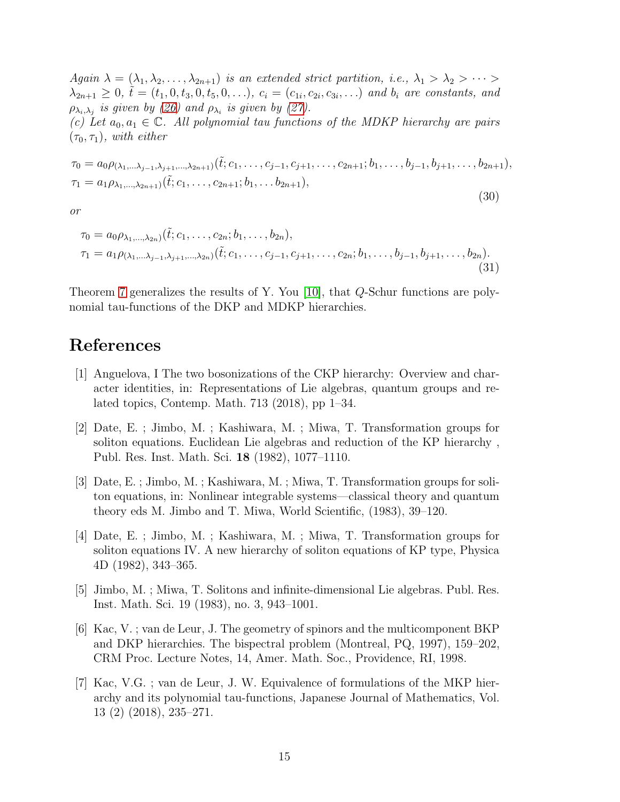Again  $\lambda = (\lambda_1, \lambda_2, \ldots, \lambda_{2n+1})$  is an extended strict partition, i.e.,  $\lambda_1 > \lambda_2 > \cdots >$  $\lambda_{2n+1} \geq 0$ ,  $\tilde{t} = (t_1, 0, t_3, 0, t_5, 0, \ldots)$ ,  $c_i = (c_{1i}, c_{2i}, c_{3i}, \ldots)$  and  $b_i$  are constants, and  $\rho_{\lambda_i,\lambda_j}$  is given by [\(26\)](#page-13-0) and  $\rho_{\lambda_i}$  is given by [\(27\)](#page-13-1).

(c) Let  $a_0, a_1 \in \mathbb{C}$ . All polynomial tau functions of the MDKP hierarchy are pairs  $(\tau_0, \tau_1)$ , with either

$$
\tau_0 = a_0 \rho_{(\lambda_1, \ldots, \lambda_{j-1}, \lambda_{j+1}, \ldots, \lambda_{2n+1})}(\tilde{t}; c_1, \ldots, c_{j-1}, c_{j+1}, \ldots, c_{2n+1}; b_1, \ldots, b_{j-1}, b_{j+1}, \ldots, b_{2n+1}),
$$
  
\n
$$
\tau_1 = a_1 \rho_{\lambda_1, \ldots, \lambda_{2n+1}}(\tilde{t}; c_1, \ldots, c_{2n+1}; b_1, \ldots, b_{2n+1}),
$$

(30)

or

$$
\tau_0 = a_0 \rho_{\lambda_1, \dots, \lambda_{2n}}(\tilde{t}; c_1, \dots, c_{2n}; b_1, \dots, b_{2n}),
$$
  
\n
$$
\tau_1 = a_1 \rho_{(\lambda_1, \dots, \lambda_{j-1}, \lambda_{j+1}, \dots, \lambda_{2n})}(\tilde{t}; c_1, \dots, c_{j-1}, c_{j+1}, \dots, c_{2n}; b_1, \dots, b_{j-1}, b_{j+1}, \dots, b_{2n}).
$$
\n(31)

Theorem [7](#page-13-2) generalizes the results of Y. You [\[10\]](#page-15-2), that Q-Schur functions are polynomial tau-functions of the DKP and MDKP hierarchies.

### <span id="page-14-6"></span>References

- [1] Anguelova, I The two bosonizations of the CKP hierarchy: Overview and character identities, in: Representations of Lie algebras, quantum groups and related topics, Contemp. Math. 713 (2018), pp 1–34.
- <span id="page-14-0"></span>[2] Date, E. ; Jimbo, M. ; Kashiwara, M. ; Miwa, T. Transformation groups for soliton equations. Euclidean Lie algebras and reduction of the KP hierarchy , Publ. Res. Inst. Math. Sci. 18 (1982), 1077–1110.
- <span id="page-14-1"></span>[3] Date, E. ; Jimbo, M. ; Kashiwara, M. ; Miwa, T. Transformation groups for soliton equations, in: Nonlinear integrable systems—classical theory and quantum theory eds M. Jimbo and T. Miwa, World Scientific, (1983), 39–120.
- <span id="page-14-2"></span>[4] Date, E. ; Jimbo, M. ; Kashiwara, M. ; Miwa, T. Transformation groups for soliton equations IV. A new hierarchy of soliton equations of KP type, Physica 4D (1982), 343–365.
- <span id="page-14-3"></span>[5] Jimbo, M. ; Miwa, T. Solitons and infinite-dimensional Lie algebras. Publ. Res. Inst. Math. Sci. 19 (1983), no. 3, 943–1001.
- <span id="page-14-5"></span>[6] Kac, V. ; van de Leur, J. The geometry of spinors and the multicomponent BKP and DKP hierarchies. The bispectral problem (Montreal, PQ, 1997), 159–202, CRM Proc. Lecture Notes, 14, Amer. Math. Soc., Providence, RI, 1998.
- <span id="page-14-4"></span>[7] Kac, V.G. ; van de Leur, J. W. Equivalence of formulations of the MKP hierarchy and its polynomial tau-functions, Japanese Journal of Mathematics, Vol. 13 (2) (2018), 235–271.